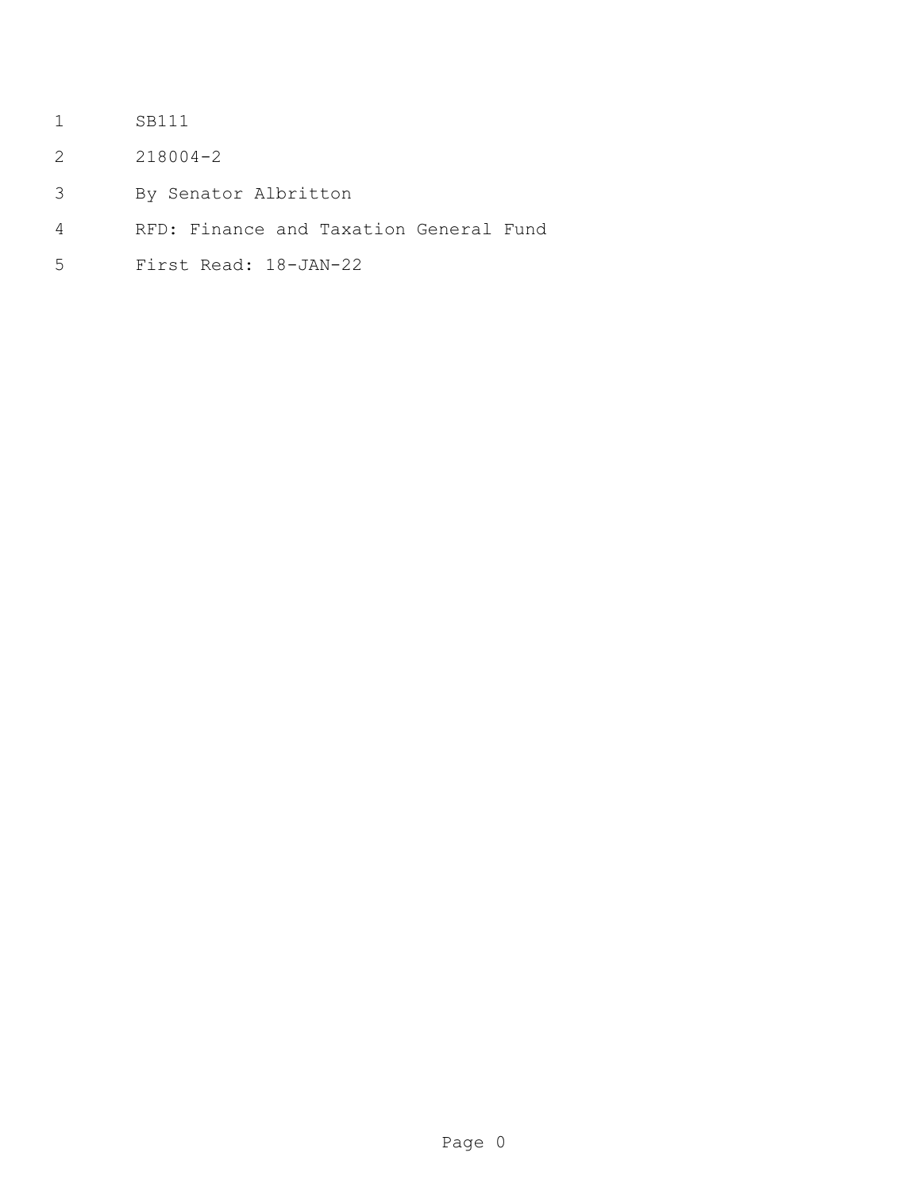- SB111
- 218004-2
- By Senator Albritton
- RFD: Finance and Taxation General Fund
- First Read: 18-JAN-22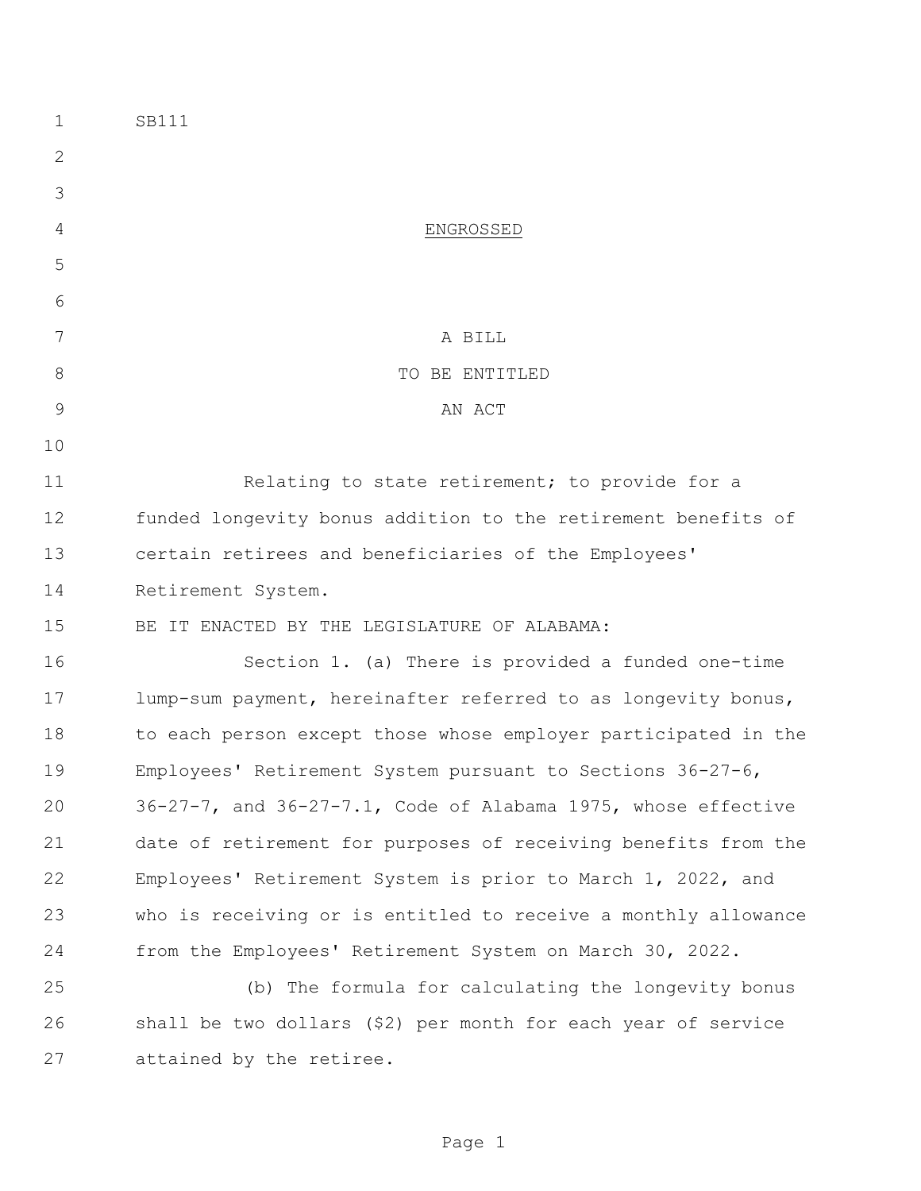| $\mathbf 1$ | SB111                                                               |  |  |
|-------------|---------------------------------------------------------------------|--|--|
| 2           |                                                                     |  |  |
| 3           |                                                                     |  |  |
| 4           | ENGROSSED                                                           |  |  |
| 5           |                                                                     |  |  |
| 6           |                                                                     |  |  |
| 7           | A BILL                                                              |  |  |
| $8\,$       | TO BE ENTITLED                                                      |  |  |
| 9           | AN ACT                                                              |  |  |
| 10          |                                                                     |  |  |
| 11          | Relating to state retirement; to provide for a                      |  |  |
| 12          | funded longevity bonus addition to the retirement benefits of       |  |  |
| 13          | certain retirees and beneficiaries of the Employees'                |  |  |
| 14          | Retirement System.                                                  |  |  |
| 15          | BE IT ENACTED BY THE LEGISLATURE OF ALABAMA:                        |  |  |
| 16          | Section 1. (a) There is provided a funded one-time                  |  |  |
| 17          | lump-sum payment, hereinafter referred to as longevity bonus,       |  |  |
| 18          | to each person except those whose employer participated in the      |  |  |
| 19          | Employees' Retirement System pursuant to Sections 36-27-6,          |  |  |
| 20          | $36-27-7$ , and $36-27-7.1$ , Code of Alabama 1975, whose effective |  |  |
| 21          | date of retirement for purposes of receiving benefits from the      |  |  |
| 22          | Employees' Retirement System is prior to March 1, 2022, and         |  |  |
| 23          | who is receiving or is entitled to receive a monthly allowance      |  |  |
| 24          | from the Employees' Retirement System on March 30, 2022.            |  |  |
| 25          | (b) The formula for calculating the longevity bonus                 |  |  |
| 26          | shall be two dollars (\$2) per month for each year of service       |  |  |
| 27          | attained by the retiree.                                            |  |  |
|             |                                                                     |  |  |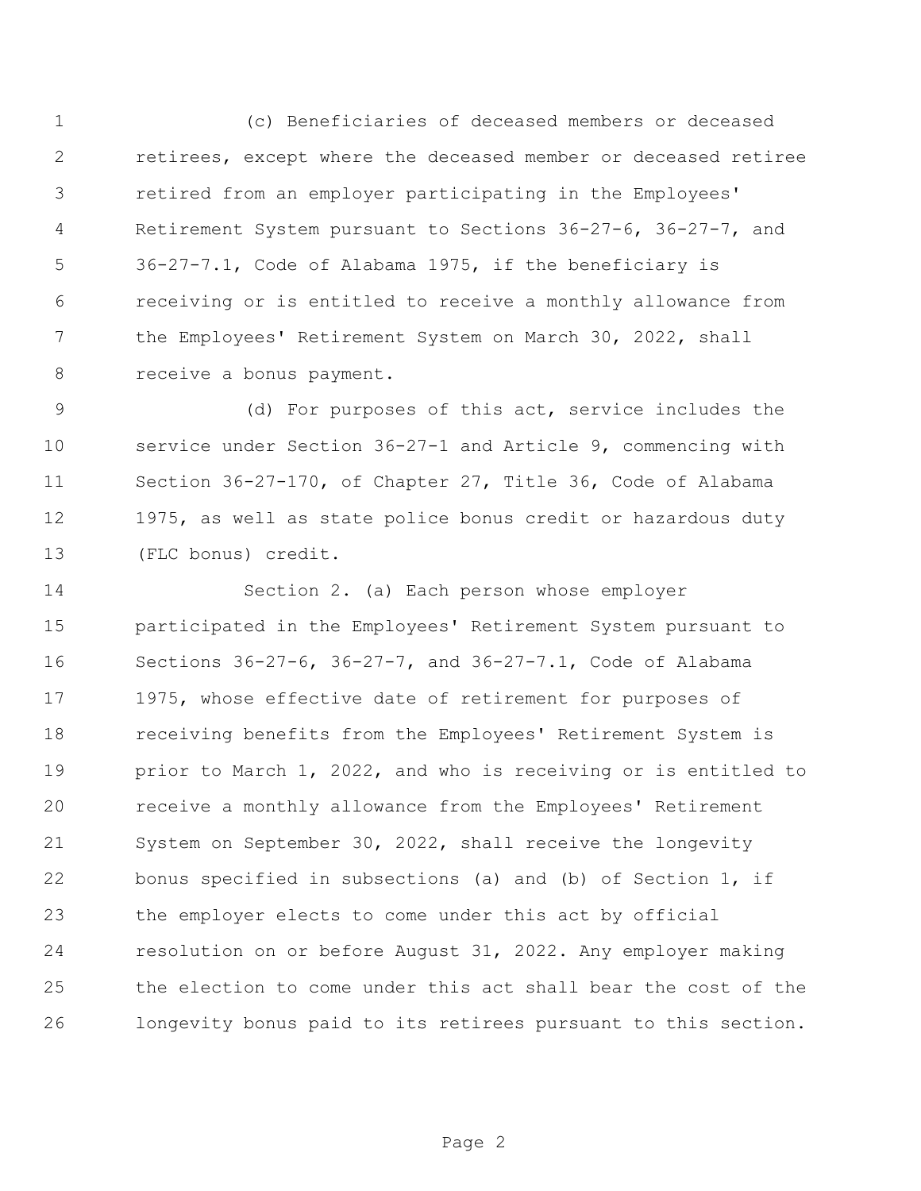(c) Beneficiaries of deceased members or deceased retirees, except where the deceased member or deceased retiree retired from an employer participating in the Employees' Retirement System pursuant to Sections 36-27-6, 36-27-7, and 36-27-7.1, Code of Alabama 1975, if the beneficiary is receiving or is entitled to receive a monthly allowance from the Employees' Retirement System on March 30, 2022, shall 8 receive a bonus payment.

 (d) For purposes of this act, service includes the service under Section 36-27-1 and Article 9, commencing with Section 36-27-170, of Chapter 27, Title 36, Code of Alabama 1975, as well as state police bonus credit or hazardous duty (FLC bonus) credit.

 Section 2. (a) Each person whose employer participated in the Employees' Retirement System pursuant to Sections 36-27-6, 36-27-7, and 36-27-7.1, Code of Alabama 1975, whose effective date of retirement for purposes of receiving benefits from the Employees' Retirement System is prior to March 1, 2022, and who is receiving or is entitled to receive a monthly allowance from the Employees' Retirement System on September 30, 2022, shall receive the longevity bonus specified in subsections (a) and (b) of Section 1, if the employer elects to come under this act by official resolution on or before August 31, 2022. Any employer making the election to come under this act shall bear the cost of the longevity bonus paid to its retirees pursuant to this section.

Page 2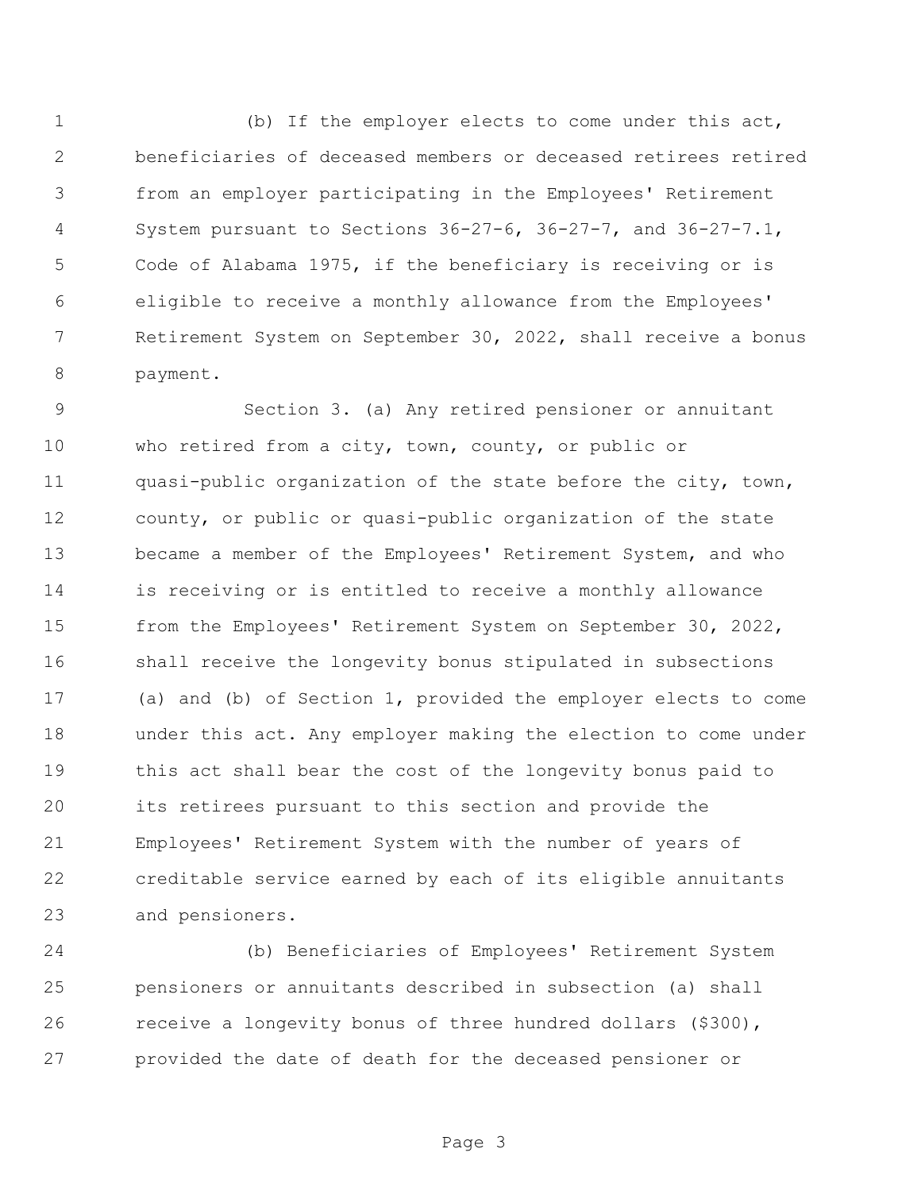(b) If the employer elects to come under this act, beneficiaries of deceased members or deceased retirees retired from an employer participating in the Employees' Retirement System pursuant to Sections 36-27-6, 36-27-7, and 36-27-7.1, Code of Alabama 1975, if the beneficiary is receiving or is eligible to receive a monthly allowance from the Employees' Retirement System on September 30, 2022, shall receive a bonus payment.

 Section 3. (a) Any retired pensioner or annuitant who retired from a city, town, county, or public or 11 quasi-public organization of the state before the city, town, county, or public or quasi-public organization of the state became a member of the Employees' Retirement System, and who is receiving or is entitled to receive a monthly allowance from the Employees' Retirement System on September 30, 2022, shall receive the longevity bonus stipulated in subsections (a) and (b) of Section 1, provided the employer elects to come under this act. Any employer making the election to come under this act shall bear the cost of the longevity bonus paid to its retirees pursuant to this section and provide the Employees' Retirement System with the number of years of creditable service earned by each of its eligible annuitants and pensioners.

 (b) Beneficiaries of Employees' Retirement System pensioners or annuitants described in subsection (a) shall receive a longevity bonus of three hundred dollars (\$300), provided the date of death for the deceased pensioner or

Page 3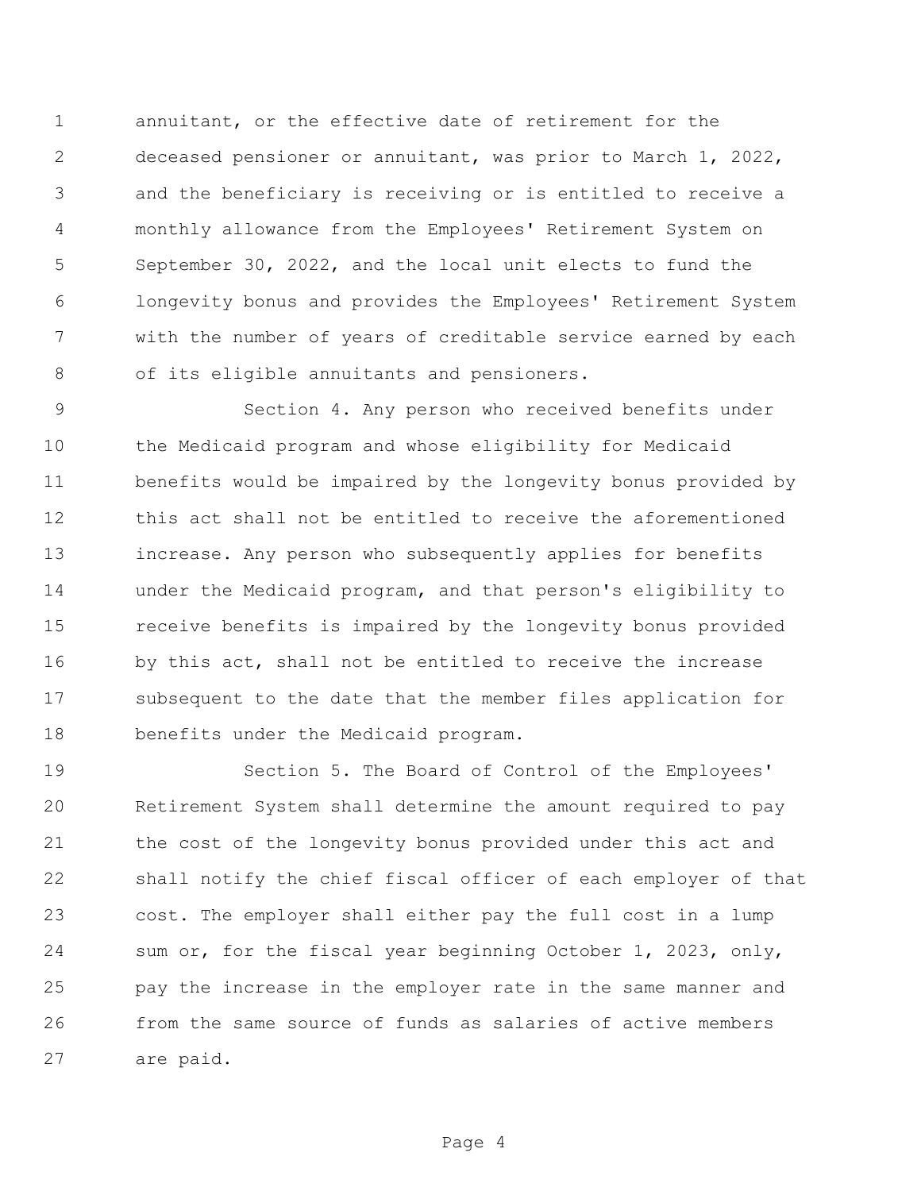annuitant, or the effective date of retirement for the deceased pensioner or annuitant, was prior to March 1, 2022, and the beneficiary is receiving or is entitled to receive a monthly allowance from the Employees' Retirement System on September 30, 2022, and the local unit elects to fund the longevity bonus and provides the Employees' Retirement System with the number of years of creditable service earned by each of its eligible annuitants and pensioners.

 Section 4. Any person who received benefits under the Medicaid program and whose eligibility for Medicaid benefits would be impaired by the longevity bonus provided by this act shall not be entitled to receive the aforementioned increase. Any person who subsequently applies for benefits under the Medicaid program, and that person's eligibility to receive benefits is impaired by the longevity bonus provided 16 by this act, shall not be entitled to receive the increase subsequent to the date that the member files application for benefits under the Medicaid program.

 Section 5. The Board of Control of the Employees' Retirement System shall determine the amount required to pay the cost of the longevity bonus provided under this act and shall notify the chief fiscal officer of each employer of that cost. The employer shall either pay the full cost in a lump sum or, for the fiscal year beginning October 1, 2023, only, pay the increase in the employer rate in the same manner and from the same source of funds as salaries of active members are paid.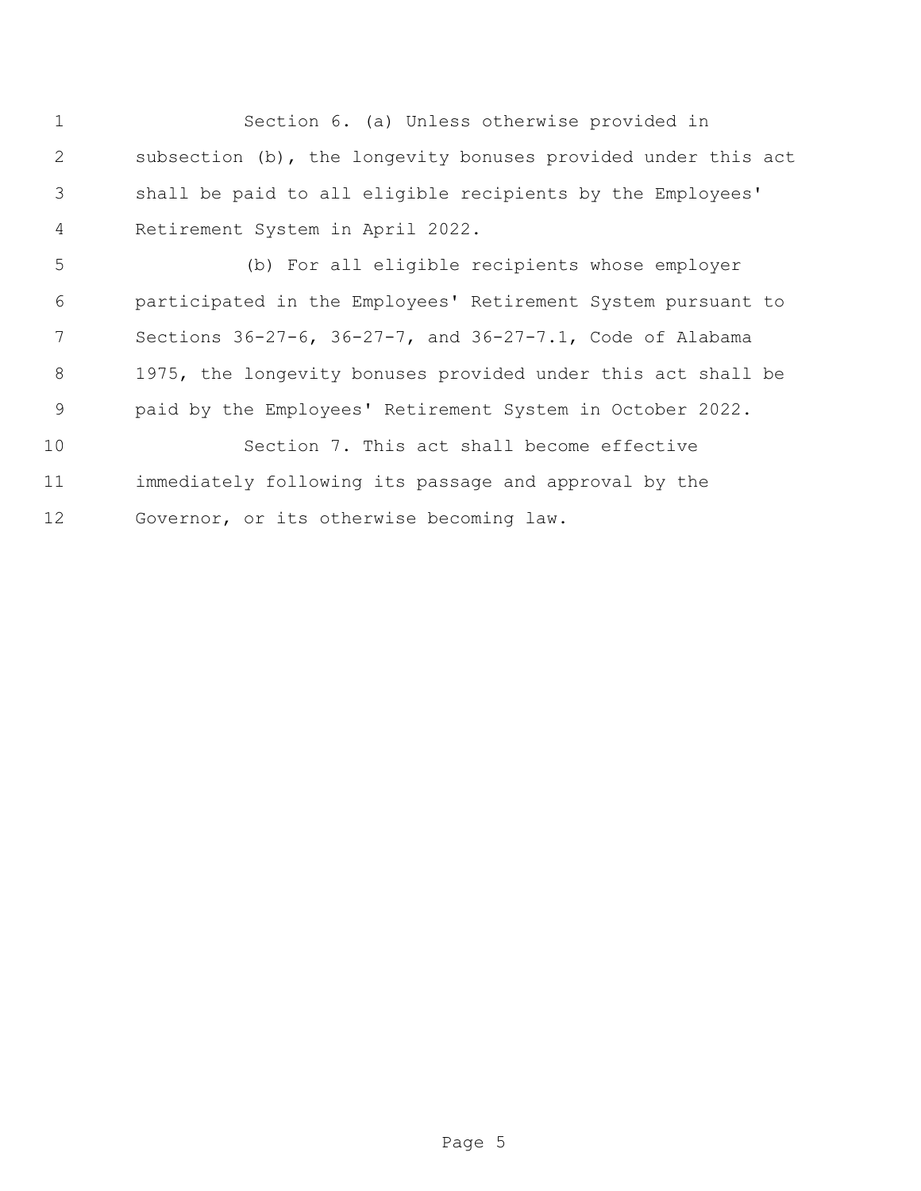Section 6. (a) Unless otherwise provided in subsection (b), the longevity bonuses provided under this act shall be paid to all eligible recipients by the Employees' Retirement System in April 2022. (b) For all eligible recipients whose employer participated in the Employees' Retirement System pursuant to Sections 36-27-6, 36-27-7, and 36-27-7.1, Code of Alabama 1975, the longevity bonuses provided under this act shall be

paid by the Employees' Retirement System in October 2022.

 Section 7. This act shall become effective immediately following its passage and approval by the Governor, or its otherwise becoming law.